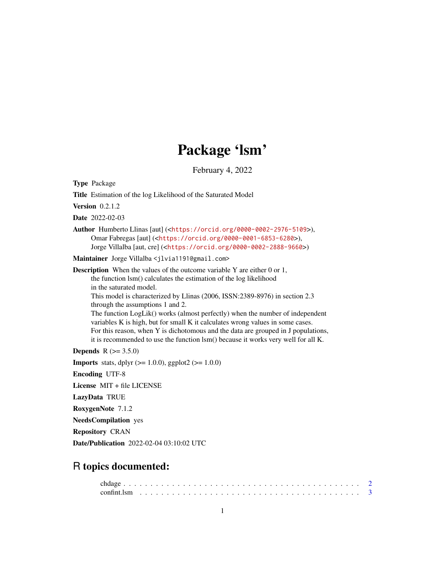# Package 'lsm'

February 4, 2022

Type Package Title Estimation of the log Likelihood of the Saturated Model Version 0.2.1.2 Date 2022-02-03 Author Humberto Llinas [aut] (<<https://orcid.org/0000-0002-2976-5109>>), Omar Fabregas [aut] (<<https://orcid.org/0000-0001-6853-6280>>), Jorge Villalba [aut, cre] (<<https://orcid.org/0000-0002-2888-9660>>) Maintainer Jorge Villalba <jlvia1191@gmail.com> Description When the values of the outcome variable Y are either 0 or 1, the function lsm() calculates the estimation of the log likelihood in the saturated model. This model is characterized by Llinas (2006, ISSN:2389-8976) in section 2.3 through the assumptions 1 and 2. The function LogLik() works (almost perfectly) when the number of independent variables K is high, but for small K it calculates wrong values in some cases. For this reason, when Y is dichotomous and the data are grouped in J populations, it is recommended to use the function lsm() because it works very well for all K. **Depends**  $R (= 3.5.0)$ **Imports** stats, dplyr  $(>= 1.0.0)$ , ggplot2  $(>= 1.0.0)$ Encoding UTF-8 License MIT + file LICENSE LazyData TRUE RoxygenNote 7.1.2

NeedsCompilation yes

Repository CRAN

Date/Publication 2022-02-04 03:10:02 UTC

# R topics documented: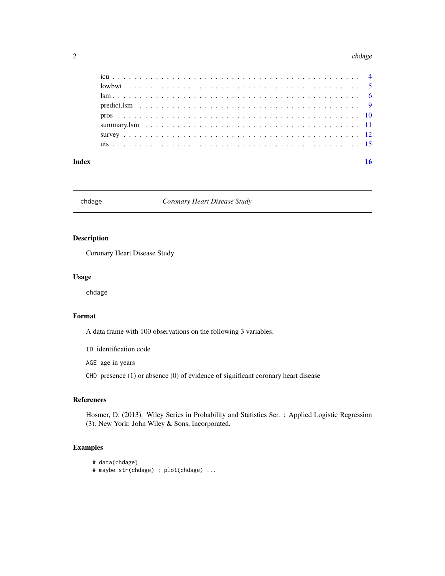#### <span id="page-1-0"></span> $2 \t**chdiag**$

| Index |  |  |  |  |  |  |  |  |  |  |  |  |  |  |  |  |  |  |  | 16 |
|-------|--|--|--|--|--|--|--|--|--|--|--|--|--|--|--|--|--|--|--|----|

chdage *Coronary Heart Disease Study*

# Description

Coronary Heart Disease Study

# Usage

chdage

# Format

A data frame with 100 observations on the following 3 variables.

ID identification code

AGE age in years

CHD presence (1) or absence (0) of evidence of significant coronary heart disease

# References

Hosmer, D. (2013). Wiley Series in Probability and Statistics Ser. : Applied Logistic Regression (3). New York: John Wiley & Sons, Incorporated.

# Examples

```
# data(chdage)
# maybe str(chdage) ; plot(chdage) ...
```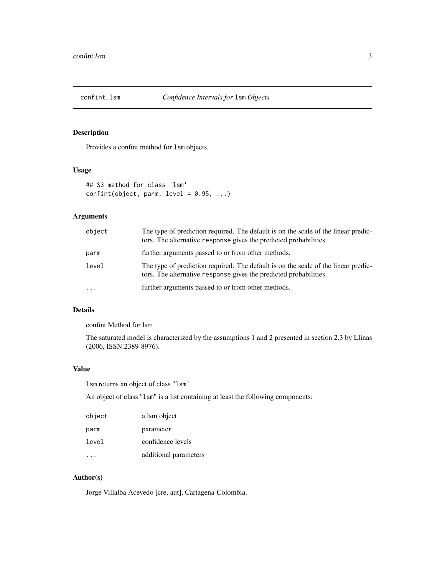<span id="page-2-0"></span>

# Description

Provides a confint method for lsm objects.

# Usage

```
## S3 method for class 'lsm'
confint(object, parm, level = 0.95, ...)
```
# Arguments

| object | The type of prediction required. The default is on the scale of the linear predic-<br>tors. The alternative response gives the predicted probabilities. |
|--------|---------------------------------------------------------------------------------------------------------------------------------------------------------|
| parm   | further arguments passed to or from other methods.                                                                                                      |
| level  | The type of prediction required. The default is on the scale of the linear predic-<br>tors. The alternative response gives the predicted probabilities. |
|        | further arguments passed to or from other methods.                                                                                                      |

# Details

confint Method for lsm

The saturated model is characterized by the assumptions 1 and 2 presented in section 2.3 by Llinas (2006, ISSN:2389-8976).

# Value

lsm returns an object of class "lsm".

An object of class "lsm" is a list containing at least the following components:

| object | a lsm object          |
|--------|-----------------------|
| parm   | parameter             |
| level  | confidence levels     |
|        | additional parameters |

#### Author(s)

Jorge Villalba Acevedo [cre, aut], Cartagena-Colombia.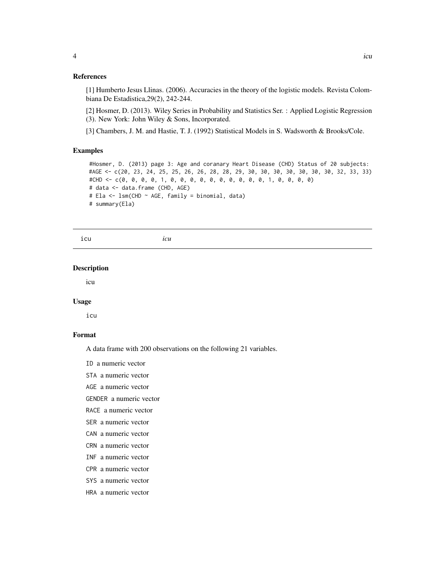#### <span id="page-3-0"></span>References

[1] Humberto Jesus Llinas. (2006). Accuracies in the theory of the logistic models. Revista Colombiana De Estadistica,29(2), 242-244.

[2] Hosmer, D. (2013). Wiley Series in Probability and Statistics Ser. : Applied Logistic Regression (3). New York: John Wiley & Sons, Incorporated.

[3] Chambers, J. M. and Hastie, T. J. (1992) Statistical Models in S. Wadsworth & Brooks/Cole.

#### Examples

```
#Hosmer, D. (2013) page 3: Age and coranary Heart Disease (CHD) Status of 20 subjects:
#AGE <- c(20, 23, 24, 25, 25, 26, 26, 28, 28, 29, 30, 30, 30, 30, 30, 30, 30, 32, 33, 33)
#CHD <- c(0, 0, 0, 0, 1, 0, 0, 0, 0, 0, 0, 0, 0, 0, 0, 1, 0, 0, 0, 0)
# data <- data.frame (CHD, AGE)
# Ela <- lsm(CHD ~ AGE, family = binomial, data)
# summary(Ela)
```
icu *icu*

## **Description**

icu

#### Usage

icu

#### Format

A data frame with 200 observations on the following 21 variables.

ID a numeric vector

STA a numeric vector

AGE a numeric vector

GENDER a numeric vector

RACE a numeric vector

SER a numeric vector

- CAN a numeric vector
- CRN a numeric vector
- INF a numeric vector
- CPR a numeric vector
- SYS a numeric vector
- HRA a numeric vector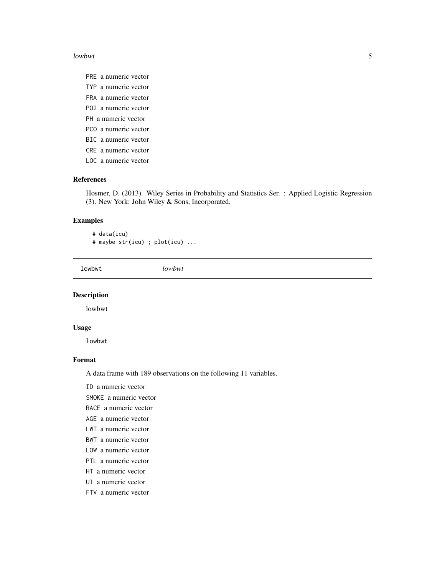#### <span id="page-4-0"></span>lowbwt 5

PRE a numeric vector TYP a numeric vector FRA a numeric vector PO2 a numeric vector PH a numeric vector PCO a numeric vector BIC a numeric vector CRE a numeric vector

LOC a numeric vector

# References

Hosmer, D. (2013). Wiley Series in Probability and Statistics Ser. : Applied Logistic Regression (3). New York: John Wiley & Sons, Incorporated.

# Examples

# data(icu) # maybe str(icu) ; plot(icu) ...

lowbwt *lowbwt*

## Description

lowbwt

# Usage

lowbwt

# Format

A data frame with 189 observations on the following 11 variables.

ID a numeric vector

SMOKE a numeric vector

RACE a numeric vector

AGE a numeric vector

- LWT a numeric vector
- BWT a numeric vector
- LOW a numeric vector

PTL a numeric vector

HT a numeric vector

UI a numeric vector

FTV a numeric vector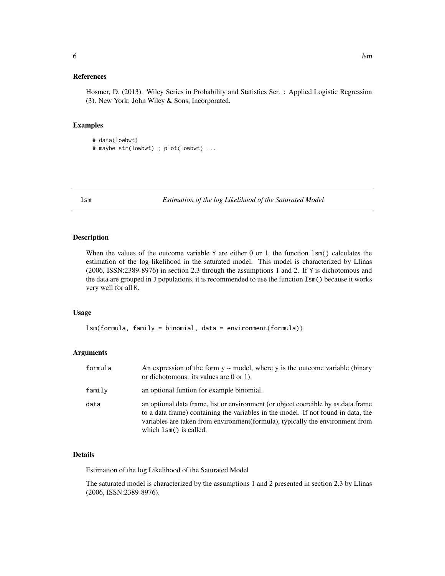#### <span id="page-5-0"></span>References

Hosmer, D. (2013). Wiley Series in Probability and Statistics Ser. : Applied Logistic Regression (3). New York: John Wiley & Sons, Incorporated.

#### Examples

```
# data(lowbwt)
# maybe str(lowbwt) ; plot(lowbwt) ...
```
lsm *Estimation of the log Likelihood of the Saturated Model*

#### Description

When the values of the outcome variable  $Y$  are either 0 or 1, the function 1sm() calculates the estimation of the log likelihood in the saturated model. This model is characterized by Llinas (2006, ISSN:2389-8976) in section 2.3 through the assumptions 1 and 2. If Y is dichotomous and the data are grouped in J populations, it is recommended to use the function lsm() because it works very well for all K.

# Usage

lsm(formula, family = binomial, data = environment(formula))

#### Arguments

| formula | An expression of the form $y \sim$ model, where y is the outcome variable (binary<br>or dichotomous: its values are $0$ or $1$ ).                                                                                                                                                    |
|---------|--------------------------------------------------------------------------------------------------------------------------------------------------------------------------------------------------------------------------------------------------------------------------------------|
| family  | an optional funtion for example binomial.                                                                                                                                                                                                                                            |
| data    | an optional data frame, list or environment (or object coercible by as data frame<br>to a data frame) containing the variables in the model. If not found in data, the<br>variables are taken from environment (formula), typically the environment from<br>which $lsm()$ is called. |

#### Details

Estimation of the log Likelihood of the Saturated Model

The saturated model is characterized by the assumptions 1 and 2 presented in section 2.3 by Llinas (2006, ISSN:2389-8976).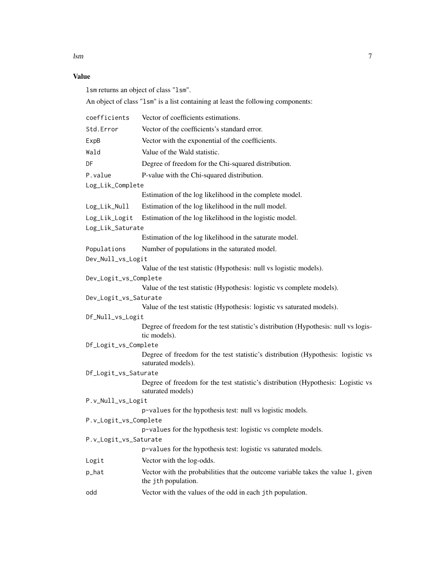| Ism |  |
|-----|--|
|     |  |

# Value

lsm returns an object of class "lsm".

An object of class "lsm" is a list containing at least the following components:

| coefficients          | Vector of coefficients estimations.                                                                     |
|-----------------------|---------------------------------------------------------------------------------------------------------|
| Std.Error             | Vector of the coefficients's standard error.                                                            |
| ExpB                  | Vector with the exponential of the coefficients.                                                        |
| Wald                  | Value of the Wald statistic.                                                                            |
| DF                    | Degree of freedom for the Chi-squared distribution.                                                     |
| P.value               | P-value with the Chi-squared distribution.                                                              |
| Log_Lik_Complete      |                                                                                                         |
|                       | Estimation of the log likelihood in the complete model.                                                 |
| Log_Lik_Null          | Estimation of the log likelihood in the null model.                                                     |
| Log_Lik_Logit         | Estimation of the log likelihood in the logistic model.                                                 |
| Log_Lik_Saturate      |                                                                                                         |
|                       | Estimation of the log likelihood in the saturate model.                                                 |
| Populations           | Number of populations in the saturated model.                                                           |
| Dev_Null_vs_Logit     |                                                                                                         |
|                       | Value of the test statistic (Hypothesis: null vs logistic models).                                      |
| Dev_Logit_vs_Complete |                                                                                                         |
|                       | Value of the test statistic (Hypothesis: logistic vs complete models).                                  |
| Dev_Logit_vs_Saturate |                                                                                                         |
|                       | Value of the test statistic (Hypothesis: logistic vs saturated models).                                 |
| Df_Null_vs_Logit      |                                                                                                         |
|                       | Degree of freedom for the test statistic's distribution (Hypothesis: null vs logis-<br>tic models).     |
| Df_Logit_vs_Complete  |                                                                                                         |
|                       | Degree of freedom for the test statistic's distribution (Hypothesis: logistic vs<br>saturated models).  |
| Df_Logit_vs_Saturate  |                                                                                                         |
|                       | Degree of freedom for the test statistic's distribution (Hypothesis: Logistic vs<br>saturated models)   |
| P.v_Null_vs_Logit     |                                                                                                         |
|                       | p-values for the hypothesis test: null vs logistic models.                                              |
| P.v_Logit_vs_Complete |                                                                                                         |
|                       | p-values for the hypothesis test: logistic vs complete models.                                          |
| P.v_Logit_vs_Saturate |                                                                                                         |
|                       | p-values for the hypothesis test: logistic vs saturated models.                                         |
| Logit                 | Vector with the log-odds.                                                                               |
| p_hat                 | Vector with the probabilities that the outcome variable takes the value 1, given<br>the jth population. |
| odd                   | Vector with the values of the odd in each jth population.                                               |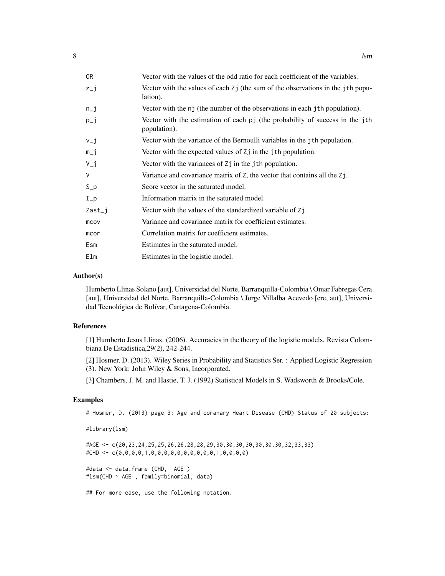| 0R       | Vector with the values of the odd ratio for each coefficient of the variables.               |
|----------|----------------------------------------------------------------------------------------------|
| $z_{-}j$ | Vector with the values of each Zj (the sum of the observations in the jth popu-<br>lation).  |
| $n_{-}j$ | Vector with the nj (the number of the observations in each jth population).                  |
| $p_{-}j$ | Vector with the estimation of each pj (the probability of success in the jth<br>population). |
| $v_j$    | Vector with the variance of the Bernoulli variables in the jth population.                   |
| $m_j$    | Vector with the expected values of Z i in the jth population.                                |
| $V_{-}j$ | Vector with the variances of Zj in the jth population.                                       |
| V        | Variance and covariance matrix of Z, the vector that contains all the Zj.                    |
| $S_p$    | Score vector in the saturated model.                                                         |
| $I_p$    | Information matrix in the saturated model.                                                   |
| $Zast_i$ | Vector with the values of the standardized variable of Zj.                                   |
| mcov     | Variance and covariance matrix for coefficient estimates.                                    |
| mcor     | Correlation matrix for coefficient estimates.                                                |
| Esm      | Estimates in the saturated model.                                                            |
| Elm      | Estimates in the logistic model.                                                             |

#### Author(s)

Humberto Llinas Solano [aut], Universidad del Norte, Barranquilla-Colombia \ Omar Fabregas Cera [aut], Universidad del Norte, Barranquilla-Colombia \ Jorge Villalba Acevedo [cre, aut], Universidad Tecnológica de Bolívar, Cartagena-Colombia.

#### References

[1] Humberto Jesus Llinas. (2006). Accuracies in the theory of the logistic models. Revista Colombiana De Estadistica,29(2), 242-244.

[2] Hosmer, D. (2013). Wiley Series in Probability and Statistics Ser. : Applied Logistic Regression (3). New York: John Wiley & Sons, Incorporated.

[3] Chambers, J. M. and Hastie, T. J. (1992) Statistical Models in S. Wadsworth & Brooks/Cole.

# Examples

# Hosmer, D. (2013) page 3: Age and coranary Heart Disease (CHD) Status of 20 subjects:

#library(lsm)

#AGE <- c(20,23,24,25,25,26,26,28,28,29,30,30,30,30,30,30,30,32,33,33) #CHD <- c(0,0,0,0,1,0,0,0,0,0,0,0,0,0,0,1,0,0,0,0)

#data <- data.frame (CHD, AGE ) #lsm(CHD ~ AGE , family=binomial, data)

## For more ease, use the following notation.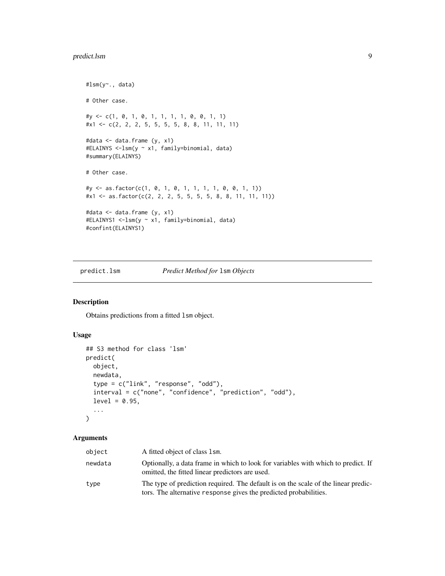# <span id="page-8-0"></span>predict.lsm 9

```
#lsm(y~., data)
# Other case.
#y <- c(1, 0, 1, 0, 1, 1, 1, 1, 0, 0, 1, 1)
#x1 <- c(2, 2, 2, 5, 5, 5, 5, 8, 8, 11, 11, 11)
#data <- data.frame (y, x1)
#ELAINYS <-lsm(y ~ x1, family=binomial, data)
#summary(ELAINYS)
# Other case.
#y <- as.factor(c(1, 0, 1, 0, 1, 1, 1, 1, 0, 0, 1, 1))
#x1 <- as.factor(c(2, 2, 2, 5, 5, 5, 5, 8, 8, 11, 11, 11))
#data <- data.frame (y, x1)
#ELAINYS1 <-lsm(y ~ x1, family=binomial, data)
#confint(ELAINYS1)
```
predict.lsm *Predict Method for* lsm *Objects*

# Description

Obtains predictions from a fitted lsm object.

# Usage

```
## S3 method for class 'lsm'
predict(
 object,
 newdata,
  type = c("link", "response", "odd"),
  interval = c("none", "confidence", "prediction", "odd"),
 level = 0.95,
  ...
\mathcal{L}
```
# Arguments

| object  | A fitted object of class 1sm.                                                                                                                           |
|---------|---------------------------------------------------------------------------------------------------------------------------------------------------------|
| newdata | Optionally, a data frame in which to look for variables with which to predict. If<br>omitted, the fitted linear predictors are used.                    |
| type    | The type of prediction required. The default is on the scale of the linear predic-<br>tors. The alternative response gives the predicted probabilities. |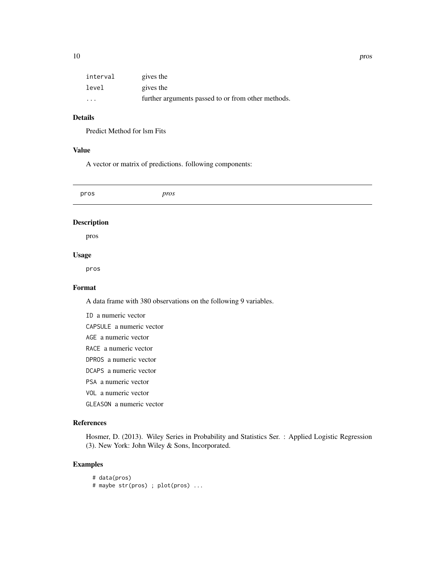<span id="page-9-0"></span>

| interval                | gives the                                          |
|-------------------------|----------------------------------------------------|
| level                   | gives the                                          |
| $\cdot$ $\cdot$ $\cdot$ | further arguments passed to or from other methods. |

# Details

Predict Method for lsm Fits

# Value

A vector or matrix of predictions. following components:

pros *pros* Description pros Usage pros Format A data frame with 380 observations on the following 9 variables. ID a numeric vector CAPSULE a numeric vector AGE a numeric vector RACE a numeric vector

DPROS a numeric vector

DCAPS a numeric vector

PSA a numeric vector

VOL a numeric vector

GLEASON a numeric vector

# References

Hosmer, D. (2013). Wiley Series in Probability and Statistics Ser. : Applied Logistic Regression (3). New York: John Wiley & Sons, Incorporated.

# Examples

# data(pros) # maybe str(pros) ; plot(pros) ...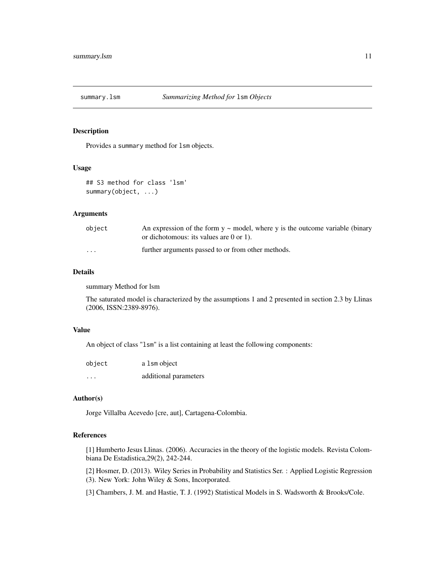<span id="page-10-0"></span>

# Description

Provides a summary method for lsm objects.

#### Usage

```
## S3 method for class 'lsm'
summary(object, ...)
```
# Arguments

| object                  | An expression of the form $y \sim$ model, where y is the outcome variable (binary<br>or dichotomous: its values are $0$ or $1$ ). |
|-------------------------|-----------------------------------------------------------------------------------------------------------------------------------|
| $\cdot$ $\cdot$ $\cdot$ | further arguments passed to or from other methods.                                                                                |

# Details

summary Method for lsm

The saturated model is characterized by the assumptions 1 and 2 presented in section 2.3 by Llinas (2006, ISSN:2389-8976).

#### Value

An object of class "lsm" is a list containing at least the following components:

| object            | a 1sm object          |
|-------------------|-----------------------|
| $\cdot\cdot\cdot$ | additional parameters |

# Author(s)

Jorge Villalba Acevedo [cre, aut], Cartagena-Colombia.

# References

[1] Humberto Jesus Llinas. (2006). Accuracies in the theory of the logistic models. Revista Colombiana De Estadistica,29(2), 242-244.

[2] Hosmer, D. (2013). Wiley Series in Probability and Statistics Ser. : Applied Logistic Regression (3). New York: John Wiley & Sons, Incorporated.

[3] Chambers, J. M. and Hastie, T. J. (1992) Statistical Models in S. Wadsworth & Brooks/Cole.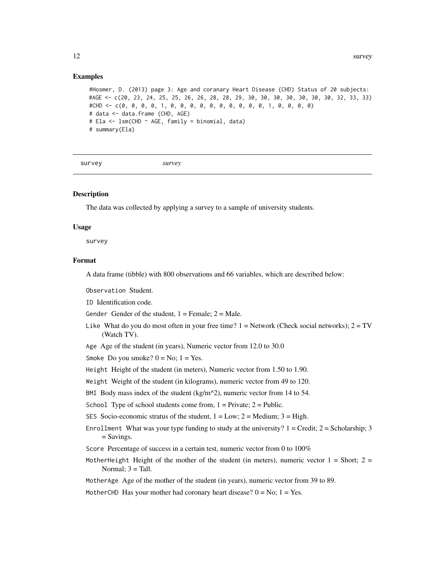#### <span id="page-11-0"></span>Examples

```
#Hosmer, D. (2013) page 3: Age and coranary Heart Disease (CHD) Status of 20 subjects:
#AGE <- c(20, 23, 24, 25, 25, 26, 26, 28, 28, 29, 30, 30, 30, 30, 30, 30, 30, 32, 33, 33)
#CHD <- c(0, 0, 0, 0, 1, 0, 0, 0, 0, 0, 0, 0, 0, 0, 0, 1, 0, 0, 0, 0)
# data <- data.frame (CHD, AGE)
# Ela <- lsm(CHD ~ AGE, family = binomial, data)
# summary(Ela)
```
survey *survey*

#### **Description**

The data was collected by applying a survey to a sample of university students.

#### Usage

survey

#### Format

A data frame (tibble) with 800 observations and 66 variables, which are described below:

Observation Student.

ID Identification code.

Gender Gender of the student,  $1 =$  Female;  $2 =$  Male.

- Like What do you do most often in your free time?  $1 =$  Network (Check social networks);  $2 = TV$ (Watch TV).
- Age Age of the student (in years), Numeric vector from 12.0 to 30.0

Smoke Do you smoke?  $0 = No$ ;  $1 = Yes$ .

Height Height of the student (in meters), Numeric vector from 1.50 to 1.90.

Weight Weight of the student (in kilograms), numeric vector from 49 to 120.

BMI Body mass index of the student (kg/m<sup> $\lambda$ </sup>), numeric vector from 14 to 54.

School Type of school students come from,  $1 = \text{Private}$ ;  $2 = \text{Public}$ .

SES Socio-economic stratus of the student,  $1 = Low$ ;  $2 = Medium$ ;  $3 = High$ .

Enrollment What was your type funding to study at the university?  $1 = C$ redit;  $2 = S$ cholarship; 3 = Savings.

Score Percentage of success in a certain test, numeric vector from 0 to 100%

MotherHeight Height of the mother of the student (in meters), numeric vector  $1 =$  Short;  $2 =$ Normal;  $3 =$ Tall.

MotherAge Age of the mother of the student (in years), numeric vector from 39 to 89.

MotherCHD Has your mother had coronary heart disease?  $0 = No$ ;  $1 = Yes$ .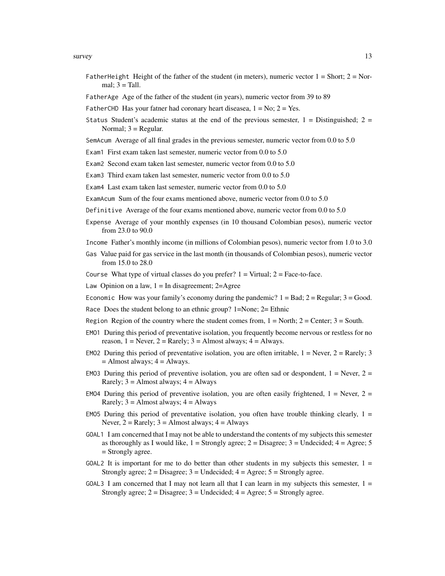- FatherHeight Height of the father of the student (in meters), numeric vector  $1 =$  Short;  $2 =$  Normal;  $3 =$ Tall.
- FatherAge Age of the father of the student (in years), numeric vector from 39 to 89
- FatherCHD Has your fatner had coronary heart diseasea,  $1 = No$ ;  $2 = Yes$ .
- Status Student's academic status at the end of the previous semester,  $1 =$  Distinguished;  $2 =$ Normal; 3 = Regular.
- SemAcum Average of all final grades in the previous semester, numeric vector from 0.0 to 5.0
- Exam1 First exam taken last semester, numeric vector from 0.0 to 5.0
- Exam2 Second exam taken last semester, numeric vector from 0.0 to 5.0
- Exam3 Third exam taken last semester, numeric vector from 0.0 to 5.0
- Exam4 Last exam taken last semester, numeric vector from 0.0 to 5.0
- ExamAcum Sum of the four exams mentioned above, numeric vector from 0.0 to 5.0
- Definitive Average of the four exams mentioned above, numeric vector from 0.0 to 5.0
- Expense Average of your monthly expenses (in 10 thousand Colombian pesos), numeric vector from 23.0 to 90.0
- Income Father's monthly income (in millions of Colombian pesos), numeric vector from 1.0 to 3.0
- Gas Value paid for gas service in the last month (in thousands of Colombian pesos), numeric vector from 15.0 to 28.0
- Course What type of virtual classes do you prefer?  $1 = \text{Virtual}; 2 = \text{Face-to-face}.$
- Law Opinion on a law,  $1 =$  In disagreement; 2=Agree

Economic How was your family's economy during the pandemic?  $1 = Bad$ ;  $2 = Regular$ ;  $3 = Good$ .

Race Does the student belong to an ethnic group? 1=None; 2= Ethnic

- Region Region of the country where the student comes from,  $1 = \text{North}$ ;  $2 = \text{Center}$ ;  $3 = \text{South}$ .
- EMO1 During this period of preventative isolation, you frequently become nervous or restless for no reason,  $1 =$  Never,  $2 =$  Rarely;  $3 =$  Almost always;  $4 =$  Always.
- EMO2 During this period of preventative isolation, you are often irritable,  $1 =$  Never,  $2 =$  Rarely; 3  $=$  Almost always;  $4 =$  Always.
- EMO3 During this period of preventive isolation, you are often sad or despondent,  $1 =$  Never,  $2 =$ Rarely;  $3 =$  Almost always;  $4 =$  Always
- EMO4 During this period of preventive isolation, you are often easily frightened,  $1 =$  Never,  $2 =$ Rarely;  $3 =$  Almost always;  $4 =$  Always
- EMO5 During this period of preventative isolation, you often have trouble thinking clearly,  $1 =$ Never,  $2 =$  Rarely;  $3 =$  Almost always;  $4 =$  Always
- GOAL1 I am concerned that I may not be able to understand the contents of my subjects this semester as thoroughly as I would like,  $1 =$  Strongly agree;  $2 =$  Disagree;  $3 =$  Undecided;  $4 =$  Agree;  $5$ = Strongly agree.
- GOAL2 It is important for me to do better than other students in my subjects this semester,  $1 =$ Strongly agree;  $2 = Disagree$ ;  $3 = Undecided$ ;  $4 = Agree$ ;  $5 = Strongly$  agree.
- GOAL3 I am concerned that I may not learn all that I can learn in my subjects this semester,  $1 =$ Strongly agree;  $2 = Disagree$ ;  $3 = Undecided$ ;  $4 = Agree$ ;  $5 = Strongly$  agree.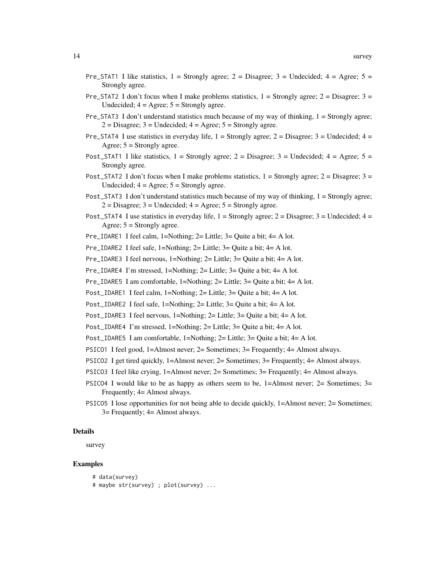- Pre\_STAT1 I like statistics,  $1 =$  Strongly agree;  $2 =$  Disagree;  $3 =$  Undecided;  $4 =$  Agree;  $5 =$ Strongly agree.
- Pre\_STAT2 I don't focus when I make problems statistics,  $1 =$  Strongly agree;  $2 =$  Disagree;  $3 =$ Undecided;  $4 = \text{Agree}$ ;  $5 = \text{Strongly agree}$ .
- Pre\_STAT3 I don't understand statistics much because of my way of thinking, 1 = Strongly agree;  $2 = Disagree$ ;  $3 = Undecided$ ;  $4 = Agree$ ;  $5 = Strongly agree$ .
- Pre\_STAT4 I use statistics in everyday life,  $1 =$  Strongly agree;  $2 =$  Disagree;  $3 =$  Undecided;  $4 =$ Agree;  $5 =$  Strongly agree.
- Post\_STAT1 I like statistics,  $1 =$  Strongly agree;  $2 =$  Disagree;  $3 =$  Undecided;  $4 =$  Agree;  $5 =$ Strongly agree.
- Post\_STAT2 I don't focus when I make problems statistics,  $1 =$  Strongly agree;  $2 =$  Disagree;  $3 =$ Undecided;  $4 = \text{Agree}$ ;  $5 = \text{Strongly agree}$ .
- Post\_STAT3 I don't understand statistics much because of my way of thinking, 1 = Strongly agree;  $2 = Disagree$ ;  $3 = Undecided$ ;  $4 = Agree$ ;  $5 = Strongly agree$ .
- Post\_STAT4 I use statistics in everyday life,  $1 =$  Strongly agree;  $2 =$  Disagree;  $3 =$  Undecided;  $4 =$ Agree;  $5 =$  Strongly agree.
- Pre\_IDARE1 I feel calm, 1=Nothing; 2= Little; 3= Quite a bit; 4= A lot.
- Pre\_IDARE2 I feel safe, 1=Nothing; 2= Little; 3= Quite a bit; 4= A lot.

Pre\_IDARE3 I feel nervous, 1=Nothing; 2= Little; 3= Quite a bit; 4= A lot.

- Pre\_IDARE4 I'm stressed, 1=Nothing; 2= Little; 3= Quite a bit;  $4=$  A lot.
- Pre\_IDARE5 I am comfortable, 1=Nothing; 2= Little; 3= Quite a bit; 4= A lot.
- Post\_IDARE1 I feel calm, 1=Nothing; 2= Little; 3= Quite a bit; 4= A lot.
- Post\_IDARE2 I feel safe, 1=Nothing; 2= Little; 3= Quite a bit; 4= A lot.
- Post\_IDARE3 I feel nervous, 1=Nothing; 2= Little; 3= Quite a bit; 4= A lot.
- Post\_IDARE4 I'm stressed, 1=Nothing; 2= Little; 3= Quite a bit; 4= A lot.
- Post\_IDARE5 I am comfortable, 1=Nothing; 2= Little; 3= Quite a bit; 4= A lot.
- PSICO1 I feel good, 1=Almost never; 2= Sometimes; 3= Frequently; 4= Almost always.
- PSICO2 I get tired quickly, 1=Almost never; 2= Sometimes; 3= Frequently; 4= Almost always.
- PSICO3 I feel like crying, 1=Almost never; 2= Sometimes; 3= Frequently; 4= Almost always.
- PSICO4 I would like to be as happy as others seem to be, 1=Almost never; 2= Sometimes; 3= Frequently; 4= Almost always.
- PSICO5 I lose opportunities for not being able to decide quickly, 1=Almost never; 2= Sometimes; 3= Frequently; 4= Almost always.

#### Details

survey

## Examples

- # data(survey)
- # maybe str(survey) ; plot(survey) ...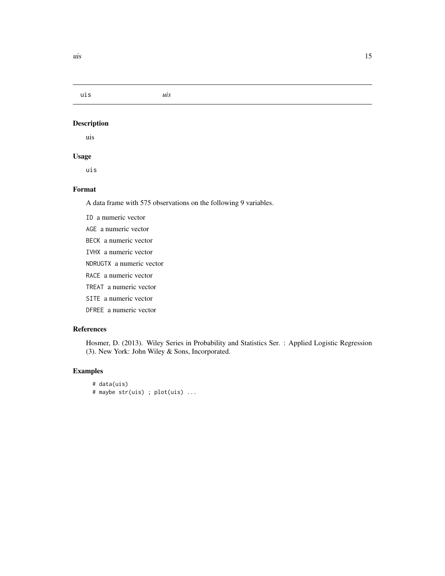<span id="page-14-0"></span>uis *uis*

# Description

uis

# Usage

uis

# Format

A data frame with 575 observations on the following 9 variables.

ID a numeric vector

AGE a numeric vector

- BECK a numeric vector
- IVHX a numeric vector

NDRUGTX a numeric vector

RACE a numeric vector

TREAT a numeric vector

SITE a numeric vector

DFREE a numeric vector

# References

Hosmer, D. (2013). Wiley Series in Probability and Statistics Ser. : Applied Logistic Regression (3). New York: John Wiley & Sons, Incorporated.

# Examples

```
# data(uis)
# maybe str(uis) ; plot(uis) ...
```